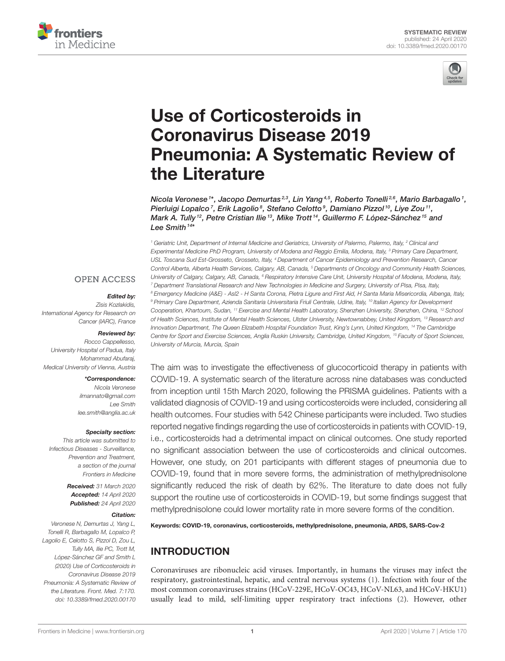



# Use of Corticosteroids in Coronavirus Disease 2019 [Pneumonia: A Systematic Review of](https://www.frontiersin.org/articles/10.3389/fmed.2020.00170/full) the Literature

[Nicola Veronese](http://loop.frontiersin.org/people/585590/overview) <sup>1\*</sup>, Jacopo Demurtas<sup>2,3</sup>, Lin Yang <sup>4,5</sup>, Roberto Tonelli <sup>2,6</sup>, Mario Barbagallo <sup>1</sup>, Pierluigi Lopalco<sup>7</sup>, Erik Lagolio<sup>8</sup>, Stefano Celotto<sup>9</sup>, [Damiano Pizzol](http://loop.frontiersin.org/people/944721/overview)<sup>10</sup>, [Liye Zou](http://loop.frontiersin.org/people/725289/overview)<sup>11</sup>, [Mark A. Tully](http://loop.frontiersin.org/people/953246/overview)<sup>12</sup>, Petre Cristian Ilie<sup>13</sup>, [Mike Trott](http://loop.frontiersin.org/people/909531/overview)<sup>14</sup>, [Guillermo F. López-Sánchez](http://loop.frontiersin.org/people/594898/overview)<sup>15</sup> and [Lee Smith](http://loop.frontiersin.org/people/308175/overview)  $^{14*}$ 

<sup>1</sup> Geriatric Unit, Department of Internal Medicine and Geriatrics, University of Palermo, Palermo, Italy, <sup>2</sup> Clinical and Experimental Medicine PhD Program, University of Modena and Reggio Emilia, Modena, Italy, <sup>3</sup> Primary Care Department, USL Toscana Sud Est-Grosseto, Grosseto, Italy, <sup>4</sup> Department of Cancer Epidemiology and Prevention Research, Cancer Control Alberta, Alberta Health Services, Calgary, AB, Canada, <sup>5</sup> Departments of Oncology and Community Health Sciences, University of Calgary, Calgary, AB, Canada, <sup>6</sup> Respiratory Intensive Care Unit, University Hospital of Modena, Modena, Italy, <sup>7</sup> Department Translational Research and New Technologies in Medicine and Surgery, University of Pisa, Pisa, Italy, 8 Emergency Medicine (A&E) - Asl2 - H Santa Corona, Pietra Ligure and First Aid, H Santa Maria Misericordia, Albenga, Italy, <sup>9</sup> Primary Care Department, Azienda Sanitaria Universitaria Friuli Centrale, Udine, Italy, <sup>10</sup> Italian Agency for Development Cooperation, Khartoum, Sudan, <sup>11</sup> Exercise and Mental Health Laboratory, Shenzhen University, Shenzhen, China, <sup>12</sup> School of Health Sciences, Institute of Mental Health Sciences, Ulster University, Newtownabbey, United Kingdom, <sup>13</sup> Research and Innovation Department, The Queen Elizabeth Hospital Foundation Trust, King's Lynn, United Kingdom, <sup>14</sup> The Cambridge Centre for Sport and Exercise Sciences, Anglia Ruskin University, Cambridge, United Kingdom, <sup>15</sup> Faculty of Sport Sciences, University of Murcia, Murcia, Spain

**OPEN ACCESS** 

#### Edited by:

Zisis Kozlakidis, International Agency for Research on Cancer (IARC), France

#### Reviewed by:

Rocco Cappellesso, University Hospital of Padua, Italy Mohammad Abufaraj, Medical University of Vienna, Austria

#### \*Correspondence:

Nicola Veronese [ilmannato@gmail.com](mailto:ilmannato@gmail.com) Lee Smith [lee.smith@anglia.ac.uk](mailto:lee.smith@anglia.ac.uk)

#### Specialty section:

This article was submitted to Infectious Diseases - Surveillance, Prevention and Treatment, a section of the journal Frontiers in Medicine

> Received: 31 March 2020 Accepted: 14 April 2020 Published: 24 April 2020

#### Citation:

Veronese N, Demurtas J, Yang L, Tonelli R, Barbagallo M, Lopalco P, Lagolio E, Celotto S, Pizzol D, Zou L, Tully MA, Ilie PC, Trott M, López-Sánchez GF and Smith L (2020) Use of Corticosteroids in Coronavirus Disease 2019 Pneumonia: A Systematic Review of the Literature. Front. Med. 7:170. doi: [10.3389/fmed.2020.00170](https://doi.org/10.3389/fmed.2020.00170)

The aim was to investigate the effectiveness of glucocorticoid therapy in patients with COVID-19. A systematic search of the literature across nine databases was conducted from inception until 15th March 2020, following the PRISMA guidelines. Patients with a validated diagnosis of COVID-19 and using corticosteroids were included, considering all health outcomes. Four studies with 542 Chinese participants were included. Two studies reported negative findings regarding the use of corticosteroids in patients with COVID-19, i.e., corticosteroids had a detrimental impact on clinical outcomes. One study reported no significant association between the use of corticosteroids and clinical outcomes. However, one study, on 201 participants with different stages of pneumonia due to COVID-19, found that in more severe forms, the administration of methylprednisolone significantly reduced the risk of death by 62%. The literature to date does not fully support the routine use of corticosteroids in COVID-19, but some findings suggest that methylprednisolone could lower mortality rate in more severe forms of the condition.

Keywords: COVID-19, coronavirus, corticosteroids, methylprednisolone, pneumonia, ARDS, SARS-Cov-2

# INTRODUCTION

Coronaviruses are ribonucleic acid viruses. Importantly, in humans the viruses may infect the respiratory, gastrointestinal, hepatic, and central nervous systems [\(1\)](#page-4-0). Infection with four of the most common coronaviruses strains (HCoV-229E, HCoV-OC43, HCoV-NL63, and HCoV-HKU1) usually lead to mild, self-limiting upper respiratory tract infections [\(2\)](#page-4-1). However, other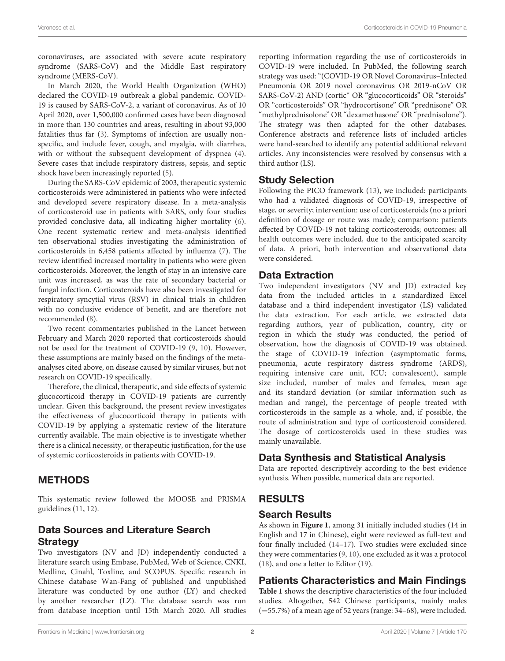coronaviruses, are associated with severe acute respiratory syndrome (SARS-CoV) and the Middle East respiratory syndrome (MERS-CoV).

In March 2020, the World Health Organization (WHO) declared the COVID-19 outbreak a global pandemic. COVID-19 is caused by SARS-CoV-2, a variant of coronavirus. As of 10 April 2020, over 1,500,000 confirmed cases have been diagnosed in more than 130 countries and areas, resulting in about 93,000 fatalities thus far [\(3\)](#page-4-2). Symptoms of infection are usually nonspecific, and include fever, cough, and myalgia, with diarrhea, with or without the subsequent development of dyspnea [\(4\)](#page-4-3). Severe cases that include respiratory distress, sepsis, and septic shock have been increasingly reported [\(5\)](#page-5-0).

During the SARS-CoV epidemic of 2003, therapeutic systemic corticosteroids were administered in patients who were infected and developed severe respiratory disease. In a meta-analysis of corticosteroid use in patients with SARS, only four studies provided conclusive data, all indicating higher mortality [\(6\)](#page-5-1). One recent systematic review and meta-analysis identified ten observational studies investigating the administration of corticosteroids in 6,458 patients affected by influenza [\(7\)](#page-5-2). The review identified increased mortality in patients who were given corticosteroids. Moreover, the length of stay in an intensive care unit was increased, as was the rate of secondary bacterial or fungal infection. Corticosteroids have also been investigated for respiratory syncytial virus (RSV) in clinical trials in children with no conclusive evidence of benefit, and are therefore not recommended [\(8\)](#page-5-3).

Two recent commentaries published in the Lancet between February and March 2020 reported that corticosteroids should not be used for the treatment of COVID-19 [\(9,](#page-5-4) [10\)](#page-5-5). However, these assumptions are mainly based on the findings of the metaanalyses cited above, on disease caused by similar viruses, but not research on COVID-19 specifically.

Therefore, the clinical, therapeutic, and side effects of systemic glucocorticoid therapy in COVID-19 patients are currently unclear. Given this background, the present review investigates the effectiveness of glucocorticoid therapy in patients with COVID-19 by applying a systematic review of the literature currently available. The main objective is to investigate whether there is a clinical necessity, or therapeutic justification, for the use of systemic corticosteroids in patients with COVID-19.

## METHODS

This systematic review followed the MOOSE and PRISMA guidelines [\(11,](#page-5-6) [12\)](#page-5-7).

# Data Sources and Literature Search **Strategy**

Two investigators (NV and JD) independently conducted a literature search using Embase, PubMed, Web of Science, CNKI, Medline, Cinahl, Toxline, and SCOPUS. Specific research in Chinese database Wan-Fang of published and unpublished literature was conducted by one author (LY) and checked by another researcher (LZ). The database search was run from database inception until 15th March 2020. All studies reporting information regarding the use of corticosteroids in COVID-19 were included. In PubMed, the following search strategy was used: "(COVID-19 OR Novel Coronavirus–Infected Pneumonia OR 2019 novel coronavirus OR 2019-nCoV OR SARS-CoV-2) AND (cortic<sup>∗</sup> OR "glucocorticoids" OR "steroids" OR "corticosteroids" OR "hydrocortisone" OR "prednisone" OR "methylprednisolone" OR "dexamethasone" OR "prednisolone"). The strategy was then adapted for the other databases. Conference abstracts and reference lists of included articles were hand-searched to identify any potential additional relevant articles. Any inconsistencies were resolved by consensus with a third author (LS).

#### Study Selection

Following the PICO framework [\(13\)](#page-5-8), we included: participants who had a validated diagnosis of COVID-19, irrespective of stage, or severity; intervention: use of corticosteroids (no a priori definition of dosage or route was made); comparison: patients affected by COVID-19 not taking corticosteroids; outcomes: all health outcomes were included, due to the anticipated scarcity of data. A priori, both intervention and observational data were considered.

#### Data Extraction

Two independent investigators (NV and JD) extracted key data from the included articles in a standardized Excel database and a third independent investigator (LS) validated the data extraction. For each article, we extracted data regarding authors, year of publication, country, city or region in which the study was conducted, the period of observation, how the diagnosis of COVID-19 was obtained, the stage of COVID-19 infection (asymptomatic forms, pneumonia, acute respiratory distress syndrome (ARDS), requiring intensive care unit, ICU; convalescent), sample size included, number of males and females, mean age and its standard deviation (or similar information such as median and range), the percentage of people treated with corticosteroids in the sample as a whole, and, if possible, the route of administration and type of corticosteroid considered. The dosage of corticosteroids used in these studies was mainly unavailable.

## Data Synthesis and Statistical Analysis

Data are reported descriptively according to the best evidence synthesis. When possible, numerical data are reported.

## RESULTS

#### Search Results

As shown in **[Figure 1](#page-2-0)**, among 31 initially included studies (14 in English and 17 in Chinese), eight were reviewed as full-text and four finally included [\(14](#page-5-9)[–17\)](#page-5-10). Two studies were excluded since they were commentaries [\(9,](#page-5-4) [10\)](#page-5-5), one excluded as it was a protocol [\(18\)](#page-5-11), and one a letter to Editor [\(19\)](#page-5-12).

## Patients Characteristics and Main Findings

**[Table 1](#page-3-0)** shows the descriptive characteristics of the four included studies. Altogether, 542 Chinese participants, mainly males (=55.7%) of a mean age of 52 years (range: 34–68), were included.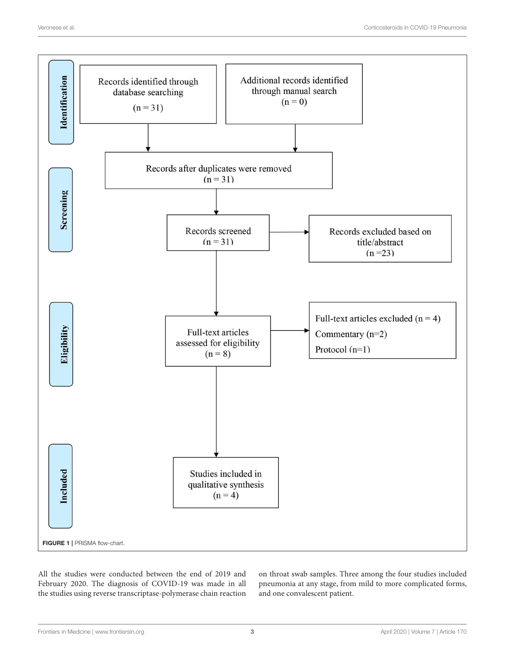

<span id="page-2-0"></span>All the studies were conducted between the end of 2019 and February 2020. The diagnosis of COVID-19 was made in all the studies using reverse transcriptase-polymerase chain reaction

on throat swab samples. Three among the four studies included pneumonia at any stage, from mild to more complicated forms, and one convalescent patient.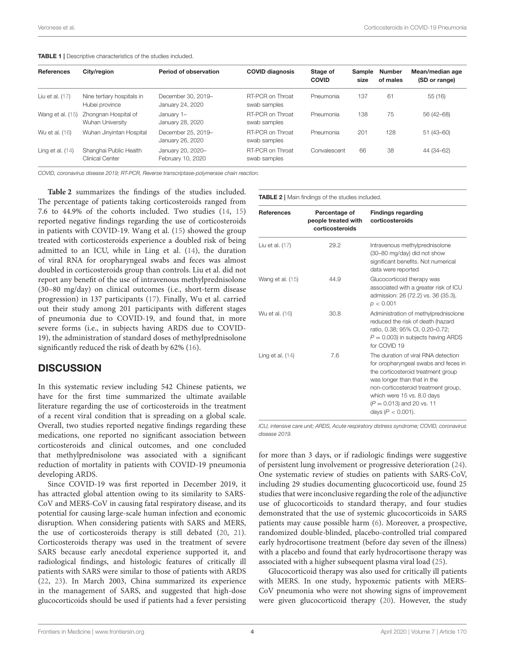<span id="page-3-0"></span>

| <b>References</b>  | City/region                                  | Period of observation                  | <b>COVID diagnosis</b>           | Stage of<br><b>COVID</b> | <b>Sample</b><br>size | Number<br>of males | Mean/median age<br>(SD or range) |
|--------------------|----------------------------------------------|----------------------------------------|----------------------------------|--------------------------|-----------------------|--------------------|----------------------------------|
| Liu et al. $(17)$  | Nine tertiary hospitals in<br>Hubei province | December 30, 2019-<br>January 24, 2020 | RT-PCR on Throat<br>swab samples | Pneumonia                | 137                   | 61                 | 55 (16)                          |
| Wang et al. (15)   | Zhongnan Hospital of<br>Wuhan University     | January 1-<br>January 28, 2020         | RT-PCR on Throat<br>swab samples | Pneumonia                | 138                   | 75                 | 56 (42-68)                       |
| Wu et al. (16)     | Wuhan Jinyintan Hospital                     | December 25, 2019-<br>January 26, 2020 | RT-PCR on Throat<br>swab samples | Pneumonia                | 201                   | 128                | $51(43 - 60)$                    |
| Ling et al. $(14)$ | Shanghai Public Health<br>Clinical Center    | January 20, 2020-<br>February 10, 2020 | RT-PCR on Throat<br>swab samples | Convalescent             | 66                    | 38                 | 44 (34-62)                       |

COVID, coronavirus disease 2019; RT-PCR, Reverse transcriptase-polymerase chain reaction.

**[Table 2](#page-3-1)** summarizes the findings of the studies included. The percentage of patients taking corticosteroids ranged from 7.6 to 44.9% of the cohorts included. Two studies [\(14,](#page-5-9) [15\)](#page-5-13) reported negative findings regarding the use of corticosteroids in patients with COVID-19. Wang et al. [\(15\)](#page-5-13) showed the group treated with corticosteroids experience a doubled risk of being admitted to an ICU, while in Ling et al. [\(14\)](#page-5-9), the duration of viral RNA for oropharyngeal swabs and feces was almost doubled in corticosteroids group than controls. Liu et al. did not report any benefit of the use of intravenous methylprednisolone (30–80 mg/day) on clinical outcomes (i.e., short-term disease progression) in 137 participants [\(17\)](#page-5-10). Finally, Wu et al. carried out their study among 201 participants with different stages of pneumonia due to COVID-19, and found that, in more severe forms (i.e., in subjects having ARDS due to COVID-19), the administration of standard doses of methylprednisolone significantly reduced the risk of death by 62% [\(16\)](#page-5-14).

#### **DISCUSSION**

In this systematic review including 542 Chinese patients, we have for the first time summarized the ultimate available literature regarding the use of corticosteroids in the treatment of a recent viral condition that is spreading on a global scale. Overall, two studies reported negative findings regarding these medications, one reported no significant association between corticosteroids and clinical outcomes, and one concluded that methylprednisolone was associated with a significant reduction of mortality in patients with COVID-19 pneumonia developing ARDS.

Since COVID-19 was first reported in December 2019, it has attracted global attention owing to its similarity to SARS-CoV and MERS-CoV in causing fatal respiratory disease, and its potential for causing large-scale human infection and economic disruption. When considering patients with SARS and MERS, the use of corticosteroids therapy is still debated [\(20,](#page-5-15) [21\)](#page-5-16). Corticosteroids therapy was used in the treatment of severe SARS because early anecdotal experience supported it, and radiological findings, and histologic features of critically ill patients with SARS were similar to those of patients with ARDS [\(22,](#page-5-17) [23\)](#page-5-18). In March 2003, China summarized its experience in the management of SARS, and suggested that high-dose glucocorticoids should be used if patients had a fever persisting <span id="page-3-1"></span>TABLE 2 | Main findings of the studies included.

| <b>References</b>  | Percentage of<br>people treated with<br>corticosteroids | <b>Findings regarding</b><br>corticosteroids                                                                                                                                                                                                                                  |
|--------------------|---------------------------------------------------------|-------------------------------------------------------------------------------------------------------------------------------------------------------------------------------------------------------------------------------------------------------------------------------|
| Liu et al. (17)    | 29.2                                                    | Intravenous methylprednisolone<br>(30-80 mg/day) did not show<br>significant benefits. Not numerical<br>data were reported                                                                                                                                                    |
| Wang et al. (15)   | 44.9                                                    | Glucocorticoid therapy was<br>associated with a greater risk of ICU<br>admission: 26 (72.2) vs. 36 (35.3),<br>p < 0.001                                                                                                                                                       |
| Wu et al. (16)     | 30.8                                                    | Administration of methylprednisolone<br>reduced the risk of death (hazard<br>ratio, 0.38; 95% CI, 0.20-0.72;<br>$P = 0.003$ ) in subjects having ARDS<br>for COVID 19                                                                                                         |
| Ling et al. $(14)$ | 7.6                                                     | The duration of viral RNA detection<br>for oropharyngeal swabs and feces in<br>the corticosteroid treatment group<br>was longer than that in the<br>non-corticosteroid treatment group,<br>which were 15 vs. 8.0 days<br>$(P = 0.013)$ and 20 vs. 11<br>days ( $P < 0.001$ ). |

ICU, intensive care unit; ARDS, Acute respiratory distress syndrome; COVID, coronavirus disease 2019.

for more than 3 days, or if radiologic findings were suggestive of persistent lung involvement or progressive deterioration [\(24\)](#page-5-19). One systematic review of studies on patients with SARS-CoV, including 29 studies documenting glucocorticoid use, found 25 studies that were inconclusive regarding the role of the adjunctive use of glucocorticoids to standard therapy, and four studies demonstrated that the use of systemic glucocorticoids in SARS patients may cause possible harm [\(6\)](#page-5-1). Moreover, a prospective, randomized double-blinded, placebo-controlled trial compared early hydrocortisone treatment (before day seven of the illness) with a placebo and found that early hydrocortisone therapy was associated with a higher subsequent plasma viral load [\(25\)](#page-5-20).

Glucocorticoid therapy was also used for critically ill patients with MERS. In one study, hypoxemic patients with MERS-CoV pneumonia who were not showing signs of improvement were given glucocorticoid therapy [\(20\)](#page-5-15). However, the study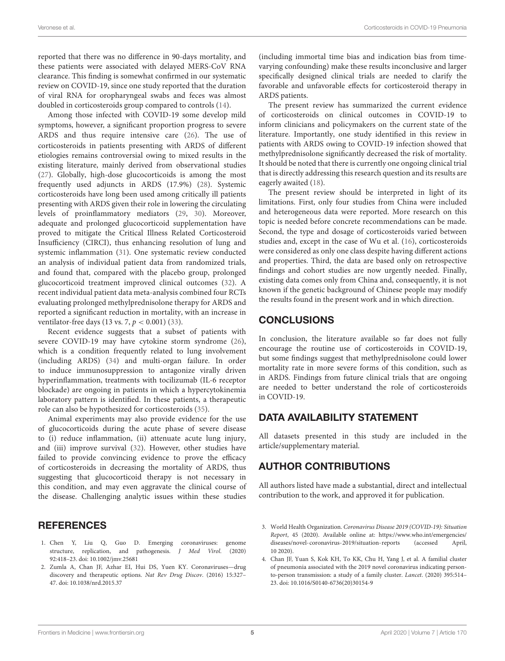reported that there was no difference in 90-days mortality, and these patients were associated with delayed MERS-CoV RNA clearance. This finding is somewhat confirmed in our systematic review on COVID-19, since one study reported that the duration of viral RNA for oropharyngeal swabs and feces was almost doubled in corticosteroids group compared to controls [\(14\)](#page-5-9).

Among those infected with COVID-19 some develop mild symptoms, however, a significant proportion progress to severe ARDS and thus require intensive care [\(26\)](#page-5-21). The use of corticosteroids in patients presenting with ARDS of different etiologies remains controversial owing to mixed results in the existing literature, mainly derived from observational studies [\(27\)](#page-5-22). Globally, high-dose glucocorticoids is among the most frequently used adjuncts in ARDS (17.9%) [\(28\)](#page-5-23). Systemic corticosteroids have long been used among critically ill patients presenting with ARDS given their role in lowering the circulating levels of proinflammatory mediators [\(29,](#page-5-24) [30\)](#page-5-25). Moreover, adequate and prolonged glucocorticoid supplementation have proved to mitigate the Critical Illness Related Corticosteroid Insufficiency (CIRCI), thus enhancing resolution of lung and systemic inflammation [\(31\)](#page-5-26). One systematic review conducted an analysis of individual patient data from randomized trials, and found that, compared with the placebo group, prolonged glucocorticoid treatment improved clinical outcomes [\(32\)](#page-5-27). A recent individual patient data meta-analysis combined four RCTs evaluating prolonged methylprednisolone therapy for ARDS and reported a significant reduction in mortality, with an increase in ventilator-free days (13 vs. 7,  $p < 0.001$ ) [\(33\)](#page-5-28).

Recent evidence suggests that a subset of patients with severe COVID-19 may have cytokine storm syndrome [\(26\)](#page-5-21), which is a condition frequently related to lung involvement (including ARDS) [\(34\)](#page-5-29) and multi-organ failure. In order to induce immunosuppression to antagonize virally driven hyperinflammation, treatments with tocilizumab (IL-6 receptor blockade) are ongoing in patients in which a hypercytokinemia laboratory pattern is identified. In these patients, a therapeutic role can also be hypothesized for corticosteroids [\(35\)](#page-5-30).

Animal experiments may also provide evidence for the use of glucocorticoids during the acute phase of severe disease to (i) reduce inflammation, (ii) attenuate acute lung injury, and (iii) improve survival [\(32\)](#page-5-27). However, other studies have failed to provide convincing evidence to prove the efficacy of corticosteroids in decreasing the mortality of ARDS, thus suggesting that glucocorticoid therapy is not necessary in this condition, and may even aggravate the clinical course of the disease. Challenging analytic issues within these studies

## **REFERENCES**

- <span id="page-4-0"></span>1. Chen Y, Liu Q, Guo D. Emerging coronaviruses: genome structure, replication, and pathogenesis. J Med Virol. (2020) 92:418–23. doi: [10.1002/jmv.25681](https://doi.org/10.1002/jmv.25681)
- <span id="page-4-1"></span>2. Zumla A, Chan JF, Azhar EI, Hui DS, Yuen KY. Coronaviruses—drug discovery and therapeutic options. Nat Rev Drug Discov. (2016) 15:327– 47. doi: [10.1038/nrd.2015.37](https://doi.org/10.1038/nrd.2015.37)

(including immortal time bias and indication bias from timevarying confounding) make these results inconclusive and larger specifically designed clinical trials are needed to clarify the favorable and unfavorable effects for corticosteroid therapy in ARDS patients.

The present review has summarized the current evidence of corticosteroids on clinical outcomes in COVID-19 to inform clinicians and policymakers on the current state of the literature. Importantly, one study identified in this review in patients with ARDS owing to COVID-19 infection showed that methylprednisolone significantly decreased the risk of mortality. It should be noted that there is currently one ongoing clinical trial that is directly addressing this research question and its results are eagerly awaited [\(18\)](#page-5-11).

The present review should be interpreted in light of its limitations. First, only four studies from China were included and heterogeneous data were reported. More research on this topic is needed before concrete recommendations can be made. Second, the type and dosage of corticosteroids varied between studies and, except in the case of Wu et al. [\(16\)](#page-5-14), corticosteroids were considered as only one class despite having different actions and properties. Third, the data are based only on retrospective findings and cohort studies are now urgently needed. Finally, existing data comes only from China and, consequently, it is not known if the genetic background of Chinese people may modify the results found in the present work and in which direction.

# **CONCLUSIONS**

In conclusion, the literature available so far does not fully encourage the routine use of corticosteroids in COVID-19, but some findings suggest that methylprednisolone could lower mortality rate in more severe forms of this condition, such as in ARDS. Findings from future clinical trials that are ongoing are needed to better understand the role of corticosteroids in COVID-19.

# DATA AVAILABILITY STATEMENT

All datasets presented in this study are included in the article/supplementary material.

# AUTHOR CONTRIBUTIONS

All authors listed have made a substantial, direct and intellectual contribution to the work, and approved it for publication.

- <span id="page-4-2"></span>3. World Health Organization. Coronavirus Disease 2019 (COVID-19): Situation Report, 45 (2020). Available online at: [https://www.who.int/emergencies/](https://www.who.int/emergencies/diseases/novel-coronavirus-2019/situation-reports) [diseases/novel-coronavirus-2019/situation-reports](https://www.who.int/emergencies/diseases/novel-coronavirus-2019/situation-reports) (accessed April, 10 2020).
- <span id="page-4-3"></span>4. Chan JF, Yuan S, Kok KH, To KK, Chu H, Yang J, et al. A familial cluster of pneumonia associated with the 2019 novel coronavirus indicating personto-person transmission: a study of a family cluster. Lancet. (2020) 395:514– 23. doi: [10.1016/S0140-6736\(20\)30154-9](https://doi.org/10.1016/S0140-6736(20)30154-9)